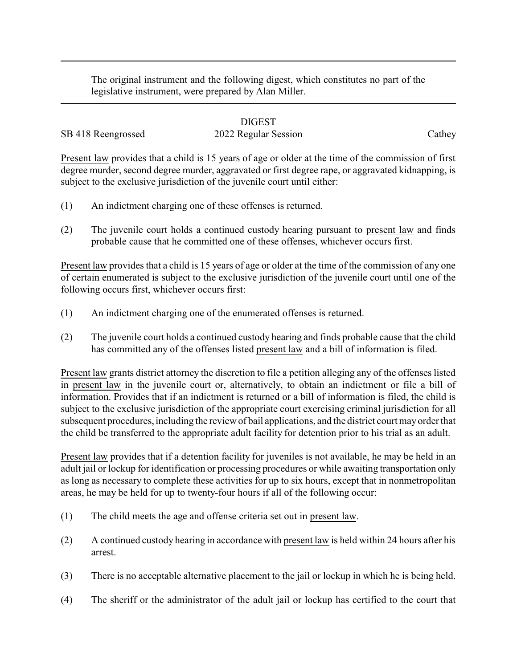The original instrument and the following digest, which constitutes no part of the legislative instrument, were prepared by Alan Miller.

## DIGEST

SB 418 Reengrossed 2022 Regular Session Cathey

Present law provides that a child is 15 years of age or older at the time of the commission of first degree murder, second degree murder, aggravated or first degree rape, or aggravated kidnapping, is subject to the exclusive jurisdiction of the juvenile court until either:

- (1) An indictment charging one of these offenses is returned.
- (2) The juvenile court holds a continued custody hearing pursuant to present law and finds probable cause that he committed one of these offenses, whichever occurs first.

Present law provides that a child is 15 years of age or older at the time of the commission of any one of certain enumerated is subject to the exclusive jurisdiction of the juvenile court until one of the following occurs first, whichever occurs first:

- (1) An indictment charging one of the enumerated offenses is returned.
- (2) The juvenile court holds a continued custody hearing and finds probable cause that the child has committed any of the offenses listed present law and a bill of information is filed.

Present law grants district attorney the discretion to file a petition alleging any of the offenses listed in present law in the juvenile court or, alternatively, to obtain an indictment or file a bill of information. Provides that if an indictment is returned or a bill of information is filed, the child is subject to the exclusive jurisdiction of the appropriate court exercising criminal jurisdiction for all subsequent procedures, including the review of bail applications, and the district court mayorder that the child be transferred to the appropriate adult facility for detention prior to his trial as an adult.

Present law provides that if a detention facility for juveniles is not available, he may be held in an adult jail or lockup for identification or processing procedures or while awaiting transportation only as long as necessary to complete these activities for up to six hours, except that in nonmetropolitan areas, he may be held for up to twenty-four hours if all of the following occur:

- (1) The child meets the age and offense criteria set out in present law.
- (2) A continued custody hearing in accordance with present law is held within 24 hours after his arrest.
- (3) There is no acceptable alternative placement to the jail or lockup in which he is being held.
- (4) The sheriff or the administrator of the adult jail or lockup has certified to the court that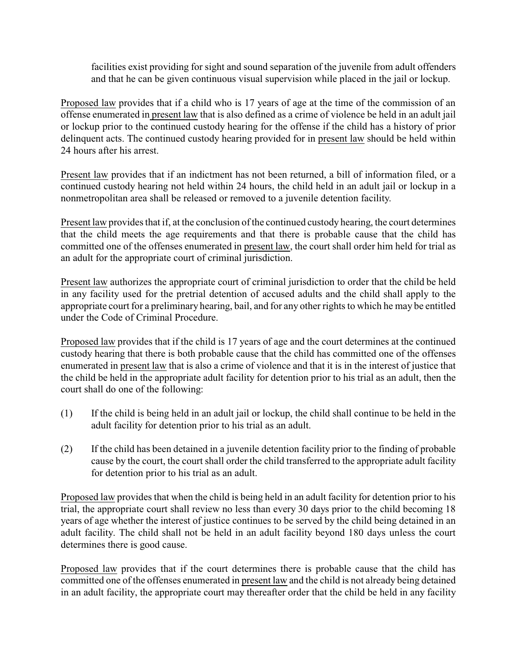facilities exist providing for sight and sound separation of the juvenile from adult offenders and that he can be given continuous visual supervision while placed in the jail or lockup.

Proposed law provides that if a child who is 17 years of age at the time of the commission of an offense enumerated in present law that is also defined as a crime of violence be held in an adult jail or lockup prior to the continued custody hearing for the offense if the child has a history of prior delinquent acts. The continued custody hearing provided for in present law should be held within 24 hours after his arrest.

Present law provides that if an indictment has not been returned, a bill of information filed, or a continued custody hearing not held within 24 hours, the child held in an adult jail or lockup in a nonmetropolitan area shall be released or removed to a juvenile detention facility.

Present law provides that if, at the conclusion of the continued custody hearing, the court determines that the child meets the age requirements and that there is probable cause that the child has committed one of the offenses enumerated in present law, the court shall order him held for trial as an adult for the appropriate court of criminal jurisdiction.

Present law authorizes the appropriate court of criminal jurisdiction to order that the child be held in any facility used for the pretrial detention of accused adults and the child shall apply to the appropriate court for a preliminary hearing, bail, and for any other rights to which he may be entitled under the Code of Criminal Procedure.

Proposed law provides that if the child is 17 years of age and the court determines at the continued custody hearing that there is both probable cause that the child has committed one of the offenses enumerated in present law that is also a crime of violence and that it is in the interest of justice that the child be held in the appropriate adult facility for detention prior to his trial as an adult, then the court shall do one of the following:

- (1) If the child is being held in an adult jail or lockup, the child shall continue to be held in the adult facility for detention prior to his trial as an adult.
- (2) If the child has been detained in a juvenile detention facility prior to the finding of probable cause by the court, the court shall order the child transferred to the appropriate adult facility for detention prior to his trial as an adult.

Proposed law provides that when the child is being held in an adult facility for detention prior to his trial, the appropriate court shall review no less than every 30 days prior to the child becoming 18 years of age whether the interest of justice continues to be served by the child being detained in an adult facility. The child shall not be held in an adult facility beyond 180 days unless the court determines there is good cause.

Proposed law provides that if the court determines there is probable cause that the child has committed one of the offenses enumerated in present law and the child is not already being detained in an adult facility, the appropriate court may thereafter order that the child be held in any facility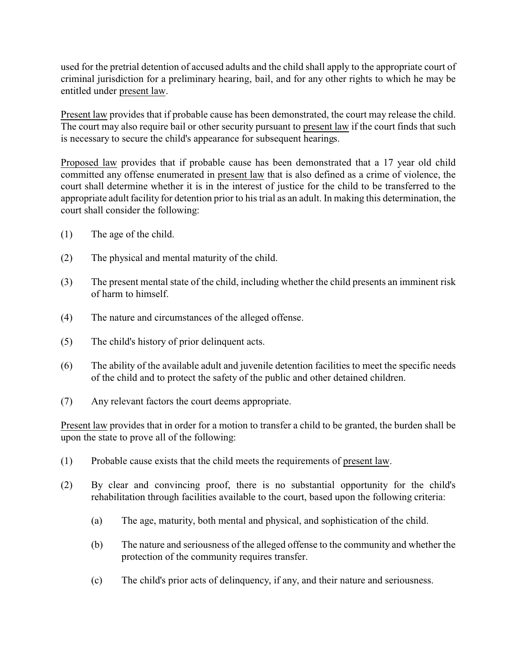used for the pretrial detention of accused adults and the child shall apply to the appropriate court of criminal jurisdiction for a preliminary hearing, bail, and for any other rights to which he may be entitled under present law.

Present law provides that if probable cause has been demonstrated, the court may release the child. The court may also require bail or other security pursuant to present law if the court finds that such is necessary to secure the child's appearance for subsequent hearings.

Proposed law provides that if probable cause has been demonstrated that a 17 year old child committed any offense enumerated in present law that is also defined as a crime of violence, the court shall determine whether it is in the interest of justice for the child to be transferred to the appropriate adult facility for detention prior to his trial as an adult. In making this determination, the court shall consider the following:

- (1) The age of the child.
- (2) The physical and mental maturity of the child.
- (3) The present mental state of the child, including whether the child presents an imminent risk of harm to himself.
- (4) The nature and circumstances of the alleged offense.
- (5) The child's history of prior delinquent acts.
- (6) The ability of the available adult and juvenile detention facilities to meet the specific needs of the child and to protect the safety of the public and other detained children.
- (7) Any relevant factors the court deems appropriate.

Present law provides that in order for a motion to transfer a child to be granted, the burden shall be upon the state to prove all of the following:

- (1) Probable cause exists that the child meets the requirements of present law.
- (2) By clear and convincing proof, there is no substantial opportunity for the child's rehabilitation through facilities available to the court, based upon the following criteria:
	- (a) The age, maturity, both mental and physical, and sophistication of the child.
	- (b) The nature and seriousness of the alleged offense to the community and whether the protection of the community requires transfer.
	- (c) The child's prior acts of delinquency, if any, and their nature and seriousness.